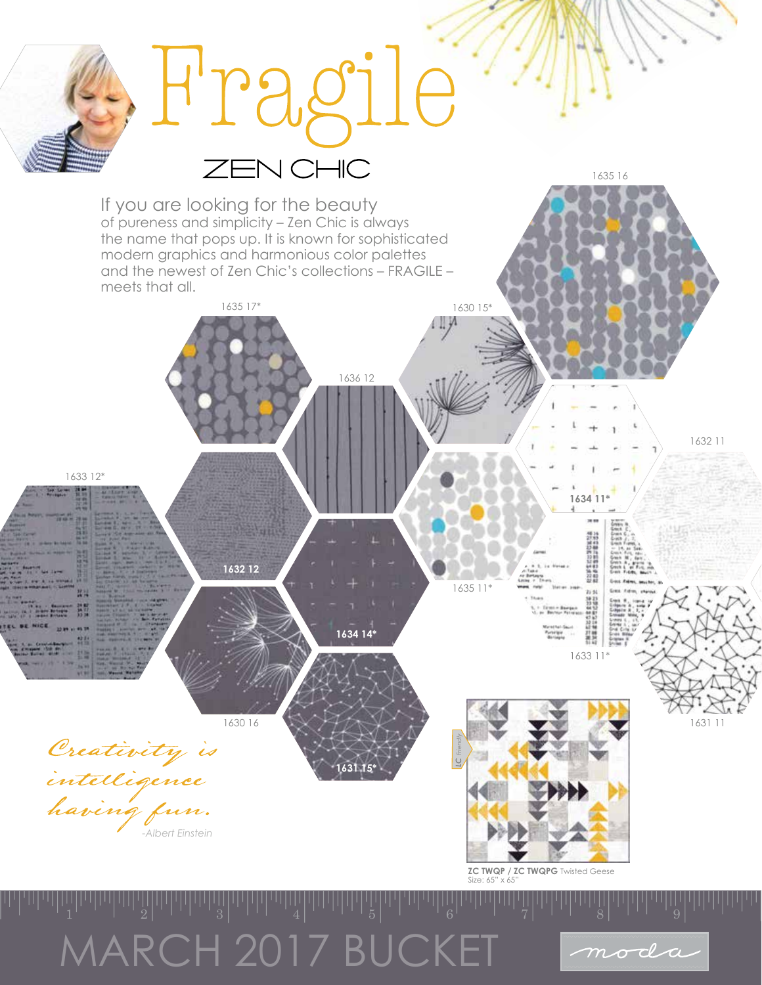## MARCH 2017 BUCKET

moda